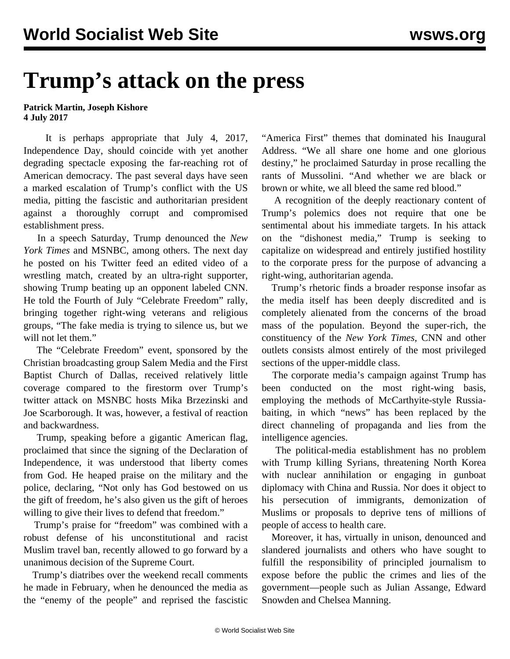## **Trump's attack on the press**

## **Patrick Martin, Joseph Kishore 4 July 2017**

 It is perhaps appropriate that July 4, 2017, Independence Day, should coincide with yet another degrading spectacle exposing the far-reaching rot of American democracy. The past several days have seen a marked escalation of Trump's conflict with the US media, pitting the fascistic and authoritarian president against a thoroughly corrupt and compromised establishment press.

 In a speech Saturday, Trump denounced the *New York Times* and MSNBC, among others. The next day he posted on his Twitter feed an edited video of a wrestling match, created by an ultra-right supporter, showing Trump beating up an opponent labeled CNN. He told the Fourth of July "Celebrate Freedom" rally, bringing together right-wing veterans and religious groups, "The fake media is trying to silence us, but we will not let them."

 The "Celebrate Freedom" event, sponsored by the Christian broadcasting group Salem Media and the First Baptist Church of Dallas, received relatively little coverage compared to the firestorm over Trump's twitter attack on MSNBC hosts Mika Brzezinski and Joe Scarborough. It was, however, a festival of reaction and backwardness.

 Trump, speaking before a gigantic American flag, proclaimed that since the signing of the Declaration of Independence, it was understood that liberty comes from God. He heaped praise on the military and the police, declaring, "Not only has God bestowed on us the gift of freedom, he's also given us the gift of heroes willing to give their lives to defend that freedom."

 Trump's praise for "freedom" was combined with a robust defense of his unconstitutional and racist Muslim travel ban, recently allowed to go forward by a unanimous decision of the Supreme Court.

 Trump's diatribes over the weekend recall comments he made in February, when he denounced the media as the "enemy of the people" and reprised the fascistic "America First" themes that dominated his Inaugural Address. "We all share one home and one glorious destiny," he proclaimed Saturday in prose recalling the rants of Mussolini. "And whether we are black or brown or white, we all bleed the same red blood."

 A recognition of the deeply reactionary content of Trump's polemics does not require that one be sentimental about his immediate targets. In his attack on the "dishonest media," Trump is seeking to capitalize on widespread and entirely justified hostility to the corporate press for the purpose of advancing a right-wing, authoritarian agenda.

 Trump's rhetoric finds a broader response insofar as the media itself has been deeply discredited and is completely alienated from the concerns of the broad mass of the population. Beyond the super-rich, the constituency of the *New York Times*, CNN and other outlets consists almost entirely of the most privileged sections of the upper-middle class.

 The corporate media's campaign against Trump has been conducted on the most right-wing basis, employing the methods of McCarthyite-style Russiabaiting, in which "news" has been replaced by the direct channeling of propaganda and lies from the intelligence agencies.

 The political-media establishment has no problem with Trump killing Syrians, threatening North Korea with nuclear annihilation or engaging in gunboat diplomacy with China and Russia. Nor does it object to his persecution of immigrants, demonization of Muslims or proposals to deprive tens of millions of people of access to health care.

 Moreover, it has, virtually in unison, denounced and slandered journalists and others who have sought to fulfill the responsibility of principled journalism to expose before the public the crimes and lies of the government—people such as Julian Assange, Edward Snowden and Chelsea Manning.